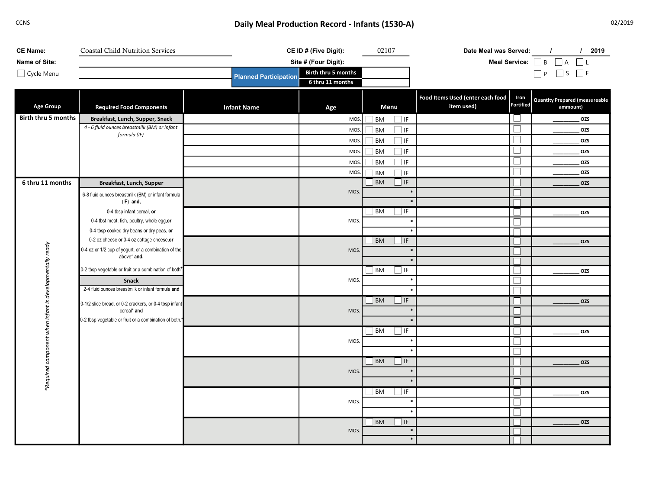## CCNS CONS CONS CONSTRUMED A CONSTRUCTION CONSTRUCTED AND RECORD - Infants (1530-A) CONSTRUCTED ASSEMBLY MEAN PRODUCTION RECORD - Infants (1530-A)

| <b>CE Name:</b>                | <b>Coastal Child Nutrition Services</b>                                                 |                              | CE ID # (Five Digit):                   | 02107                             | Date Meal was Served:                          |                          | 12019<br>$\prime$                     |  |
|--------------------------------|-----------------------------------------------------------------------------------------|------------------------------|-----------------------------------------|-----------------------------------|------------------------------------------------|--------------------------|---------------------------------------|--|
| Name of Site:                  |                                                                                         |                              | Site # (Four Digit):                    |                                   |                                                |                          | Meal Service: B A L                   |  |
| Cycle Menu                     |                                                                                         | <b>Planned Participation</b> | Birth thru 5 months<br>6 thru 11 months |                                   |                                                |                          | $\Box P$ $S$ $\Box E$                 |  |
|                                |                                                                                         |                              |                                         |                                   | Food Items Used (enter each food<br>item used) | Iron<br><b>Fortified</b> | <b>Quantity Prepared (measureable</b> |  |
| <b>Age Group</b>               | <b>Required Food Components</b>                                                         | <b>Infant Name</b>           | Age                                     | Menu                              |                                                |                          | ammount)                              |  |
| Birth thru 5 months            | Breakfast, Lunch, Supper, Snack<br>4 - 6 fluid ounces breastmilk (BM) or infant         |                              | MOS.                                    | <b>BM</b><br>$\Box$ IF            |                                                |                          | OZS                                   |  |
|                                | formula (IF)                                                                            |                              | MOS.                                    | BM<br>$\Box$ IF                   |                                                |                          | OZS                                   |  |
|                                |                                                                                         |                              | MOS.                                    | BM<br>$\Box$ IF                   |                                                |                          | OZS                                   |  |
|                                |                                                                                         |                              | MOS.                                    | BM<br>$\Box$ IF                   |                                                |                          | OZS                                   |  |
|                                |                                                                                         |                              | MOS.                                    | $\Box$ IF<br><b>BM</b>            |                                                |                          | OZS                                   |  |
|                                |                                                                                         |                              | MOS.                                    | $\Box$ IF<br>$\Box$ BM            |                                                |                          | OZS                                   |  |
| 6 thru 11 months               | Breakfast, Lunch, Supper                                                                |                              |                                         | $\Box$ IF<br><b>BM</b>            |                                                |                          | OZS                                   |  |
|                                | 6-8 fluid ounces breastmilk (BM) or infant formula                                      |                              | MOS.                                    |                                   |                                                |                          |                                       |  |
|                                | $(IF)$ and,                                                                             |                              |                                         |                                   |                                                |                          |                                       |  |
|                                | 0-4 tbsp infant cereal, or                                                              |                              |                                         | BM<br>$\Box$ IF                   |                                                |                          | <b>OZS</b>                            |  |
|                                | 0-4 tbst meat, fish, poultry, whole egg, or                                             |                              | MOS.                                    |                                   |                                                |                          |                                       |  |
|                                | 0-4 tbsp cooked dry beans or dry peas, or<br>0-2 oz cheese or 0-4 oz cottage cheese, or |                              |                                         | BM                                |                                                |                          |                                       |  |
|                                | 0-4 oz or 1/2 cup of yogurt, or a combination of the                                    |                              | MOS.                                    | $\Box$ IF                         |                                                |                          | OZS                                   |  |
| developmentally ready          | above* and,                                                                             |                              |                                         |                                   |                                                |                          |                                       |  |
|                                | 0-2 tbsp vegetable or fruit or a combination of both*                                   |                              |                                         | $\Box$ IF<br><b>BM</b>            |                                                |                          | OZS                                   |  |
|                                | Snack                                                                                   |                              | MOS.                                    |                                   |                                                |                          |                                       |  |
|                                | 2-4 fluid ounces breastmilk or infant formula and                                       |                              |                                         |                                   |                                                |                          |                                       |  |
|                                |                                                                                         |                              |                                         | <b>BM</b><br>$\Box$ IF            |                                                |                          | OZS                                   |  |
| infant is                      | 0-1/2 slice bread, or 0-2 crackers, or 0-4 tbsp infant<br>cereal* and                   |                              | MOS.                                    |                                   |                                                |                          |                                       |  |
|                                | 0-2 tbsp vegetable or fruit or a combination of both.*                                  |                              |                                         |                                   |                                                |                          |                                       |  |
| when<br>component<br>*Required |                                                                                         |                              |                                         | $\overline{\phantom{a}}$ IF<br>BM |                                                |                          | OZS                                   |  |
|                                |                                                                                         |                              | MOS.                                    |                                   |                                                |                          |                                       |  |
|                                |                                                                                         |                              |                                         |                                   |                                                |                          |                                       |  |
|                                |                                                                                         |                              |                                         | $\Box$ IF<br><b>BM</b>            |                                                |                          | OZS                                   |  |
|                                |                                                                                         |                              | MOS.                                    |                                   |                                                |                          |                                       |  |
|                                |                                                                                         |                              |                                         |                                   |                                                |                          |                                       |  |
|                                |                                                                                         |                              | MOS.                                    | $\Box$ IF<br><b>BM</b>            |                                                |                          | OZS                                   |  |
|                                |                                                                                         |                              |                                         |                                   |                                                |                          |                                       |  |
|                                |                                                                                         |                              |                                         |                                   |                                                |                          |                                       |  |
|                                |                                                                                         |                              |                                         | $\overline{\phantom{a}}$ IF<br>BM |                                                |                          | OZS                                   |  |
|                                |                                                                                         |                              | MOS.                                    |                                   |                                                |                          |                                       |  |
|                                |                                                                                         |                              |                                         |                                   |                                                |                          |                                       |  |